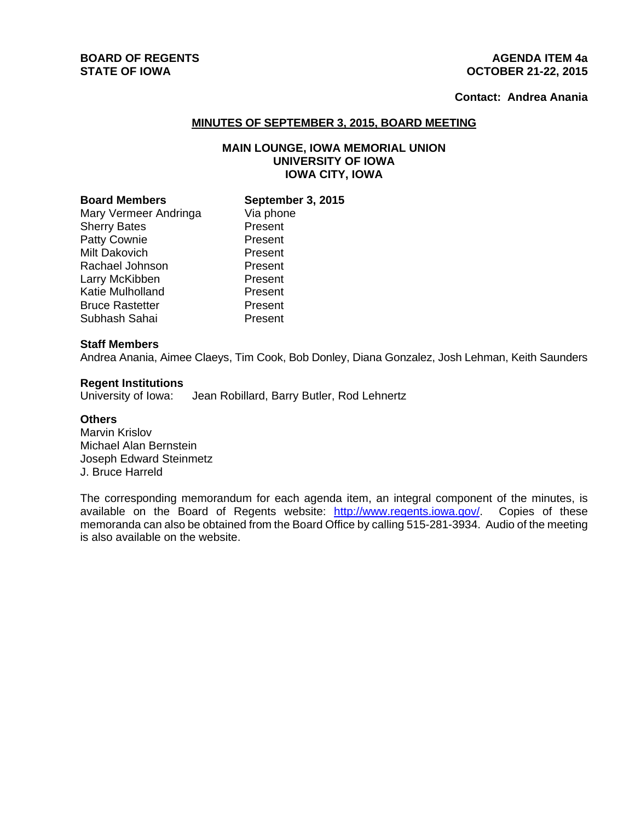# **BOARD OF REGENTS AGENUS AGENUS AGENUS AGENUS**

## **STATE OF IOWA OCTOBER 21-22, 2015**

## **Contact: Andrea Anania**

#### **MINUTES OF SEPTEMBER 3, 2015, BOARD MEETING**

### **MAIN LOUNGE, IOWA MEMORIAL UNION UNIVERSITY OF IOWA IOWA CITY, IOWA**

| <b>Board Members</b>   |
|------------------------|
| Mary Vermeer Andringa  |
| <b>Sherry Bates</b>    |
| <b>Patty Cownie</b>    |
| Milt Dakovich          |
| Rachael Johnson        |
| Larry McKibben         |
| Katie Mulholland       |
| <b>Bruce Rastetter</b> |
| Subhash Sahai          |

**September 3, 2015** Via phone **Present** Present Present **Present** Present Present **Present Present** 

#### **Staff Members**

Andrea Anania, Aimee Claeys, Tim Cook, Bob Donley, Diana Gonzalez, Josh Lehman, Keith Saunders

#### **Regent Institutions**

University of Iowa: Jean Robillard, Barry Butler, Rod Lehnertz

#### **Others**

Marvin Krislov Michael Alan Bernstein Joseph Edward Steinmetz J. Bruce Harreld

The corresponding memorandum for each agenda item, an integral component of the minutes, is available on the Board of Regents website: http://www.regents.iowa.gov/. Copies of these memoranda can also be obtained from the Board Office by calling 515-281-3934. Audio of the meeting is also available on the website.